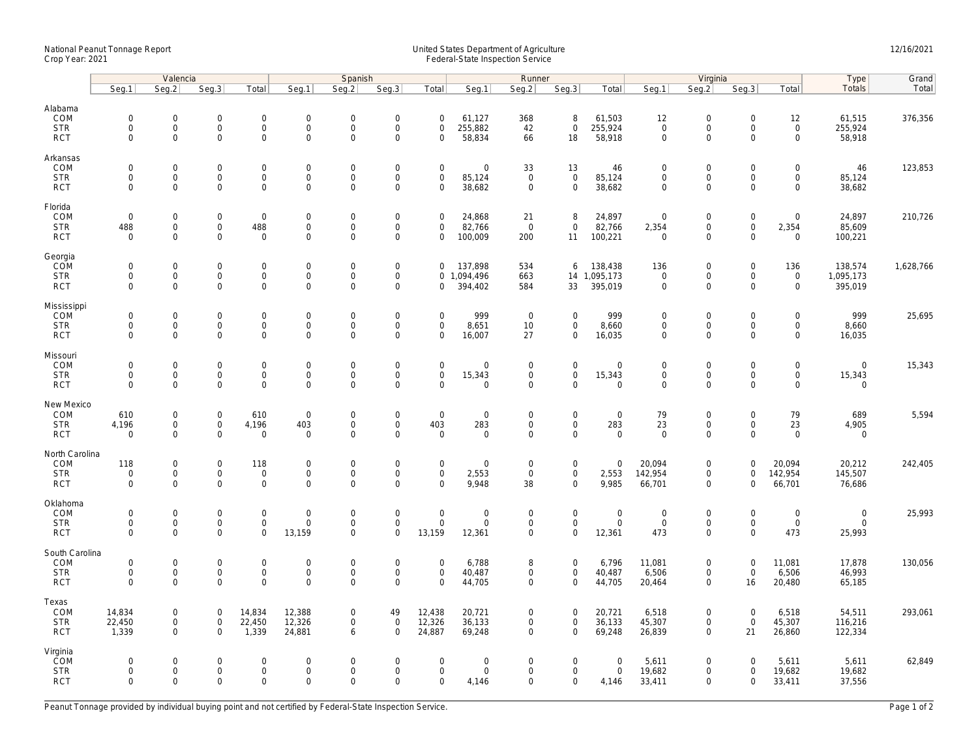## National Peanut Tonnage Report United States Department of Agriculture 12/16/2021<br>Crop Year: 2021 Federal-State Inspection Service

|                                                    | Valencia                                  |                                                            |                                                   |                                                            | Spanish                                         |                                                   |                                                           |                                                   | Runner                                               |                                                   |                                                    |                                           | Virginia                                          |                                                                   |                                                        |                                                            | Type                                  | Grand     |
|----------------------------------------------------|-------------------------------------------|------------------------------------------------------------|---------------------------------------------------|------------------------------------------------------------|-------------------------------------------------|---------------------------------------------------|-----------------------------------------------------------|---------------------------------------------------|------------------------------------------------------|---------------------------------------------------|----------------------------------------------------|-------------------------------------------|---------------------------------------------------|-------------------------------------------------------------------|--------------------------------------------------------|------------------------------------------------------------|---------------------------------------|-----------|
|                                                    | Seq.1                                     | Seg.2                                                      | Seq.3                                             | Total                                                      | Seg.1                                           | Seq.2                                             | Seq.3                                                     | Total                                             | Seg.1                                                | Seq.2                                             | Seq.3                                              | Total                                     | Seg.1                                             | Seq.2                                                             | Seq.3                                                  | Total                                                      | Totals                                | Total     |
| Alabama<br>COM<br><b>STR</b><br><b>RCT</b>         | $\mathbf 0$<br>$\mathbf 0$<br>$\mathbf 0$ | $\mathbf 0$<br>0<br>$\mathbf 0$                            | $\mathbf 0$<br>$\mathsf{O}\xspace$<br>$\mathbf 0$ | $\mathbf 0$<br>$\mathsf{O}\xspace$<br>$\mathbf 0$          | $\mathsf{O}$<br>$\mathsf{O}$<br>$\mathsf{O}$    | $\mathbf 0$<br>$\mathsf{O}\xspace$<br>$\mathbf 0$ | $\mathbf 0$<br>$\mathsf{O}\xspace$<br>$\mathbf 0$         | $\mathbf 0$<br>$\mathsf{O}\xspace$<br>$\mathbf 0$ | 61,127<br>255,882<br>58,834                          | 368<br>42<br>66                                   | 8<br>$\mathsf{O}\xspace$<br>18                     | 61,503<br>255,924<br>58,918               | 12<br>$\mathsf{O}\xspace$<br>$\mathbf 0$          | $\mathbf 0$<br>$\mathsf{O}$<br>$\mathbf 0$                        | $\mathbf 0$<br>$\mathsf 0$<br>$\mathbf 0$              | 12<br>$\mathsf{O}\xspace$<br>$\mathsf{O}\xspace$           | 61,515<br>255,924<br>58,918           | 376,356   |
| Arkansas<br>COM<br><b>STR</b><br><b>RCT</b>        | $\mathbf 0$<br>$\mathbf 0$<br>$\mathbf 0$ | $\mathsf{O}\xspace$<br>$\mathsf{O}$<br>$\mathbf 0$         | $\mathbf 0$<br>$\mathbf 0$<br>$\mathbf 0$         | $\mathsf{O}\xspace$<br>$\mathbf 0$<br>$\mathbf 0$          | $\mathbf 0$<br>$\mathsf{O}$<br>$\mathsf{O}$     | $\mathbf 0$<br>$\mathbf 0$<br>$\mathsf 0$         | $\mathsf{O}\xspace$<br>$\mathsf 0$<br>$\mathsf 0$         | $\mathsf 0$<br>$\mathbf 0$<br>$\mathbf 0$         | $\mathsf{O}\xspace$<br>85,124<br>38,682              | 33<br>$\mathbf 0$<br>$\mathsf 0$                  | 13<br>$\mathbf 0$<br>$\mathbf 0$                   | 46<br>85,124<br>38,682                    | $\mathbf 0$<br>$\mathbf 0$<br>$\mathbf 0$         | $\mathsf{O}\xspace$<br>$\mathsf{O}$<br>$\mathsf{O}\xspace$        | $\mathbf 0$<br>$\mathbf 0$<br>$\mathbf 0$              | $\mathsf{O}\xspace$<br>$\mathsf{O}$<br>$\mathsf{O}$        | 46<br>85,124<br>38,682                | 123,853   |
| Florida<br>COM<br><b>STR</b><br><b>RCT</b>         | $\mathbf 0$<br>488<br>$\mathbf 0$         | $\mathbf 0$<br>$\mathsf{O}$<br>$\mathbf 0$                 | $\mathbf 0$<br>$\mathsf{O}\xspace$<br>$\Omega$    | $\mathsf 0$<br>488<br>$\mathbf 0$                          | $\boldsymbol{0}$<br>$\mathsf{O}$<br>$\mathbf 0$ | $\mathbf 0$<br>$\mathsf{O}\xspace$<br>$\mathbf 0$ | $\mathsf{O}\xspace$<br>$\mathsf{O}\xspace$<br>$\mathbf 0$ | $\mathbf 0$<br>$\mathbf 0$<br>$\mathbf 0$         | 24,868<br>82,766<br>100,009                          | 21<br>$\mathbf 0$<br>200                          | 8<br>$\mathbf 0$<br>11                             | 24,897<br>82,766<br>100,221               | $\mathbf 0$<br>2,354<br>$\overline{0}$            | $\mathbf 0$<br>$\mathsf{O}$<br>$\mathbf 0$                        | $\mathsf{O}\xspace$<br>$\mathsf{O}\xspace$<br>$\Omega$ | $\mathbf 0$<br>2,354<br>$\mathbf 0$                        | 24,897<br>85,609<br>100,221           | 210,726   |
| Georgia<br>COM<br><b>STR</b><br><b>RCT</b>         | $\mathbf 0$<br>$\mathbf 0$<br>$\mathbf 0$ | $\mathbf 0$<br>$\mathsf{O}\xspace$<br>$\mathbf 0$          | $\mathbf 0$<br>$\mathbf 0$<br>$\mathbf 0$         | $\mathsf{O}\xspace$<br>$\mathbf 0$<br>$\mathbf 0$          | $\boldsymbol{0}$<br>$\mathbf 0$<br>$\mathbf 0$  | $\mathbf 0$<br>$\mathsf 0$<br>$\mathbf 0$         | $\mathsf{O}\xspace$<br>$\mathsf{O}\xspace$<br>$\mathbf 0$ | 0<br>0                                            | 137,898<br>0 1,094,496<br>394,402                    | 534<br>663<br>584                                 | 6<br>14<br>33                                      | 138,438<br>1,095,173<br>395,019           | 136<br>$\mathbf 0$<br>$\mathbf 0$                 | $\mathsf{O}\xspace$<br>$\mathsf{O}\xspace$<br>$\mathbf 0$         | $\mathsf 0$<br>$\mathsf 0$<br>$\Omega$                 | 136<br>$\mathbf 0$<br>$\mathbf 0$                          | 138,574<br>1,095,173<br>395,019       | 1,628,766 |
| Mississippi<br>COM<br><b>STR</b><br><b>RCT</b>     | $\mathbf 0$<br>$\mathbf 0$<br>$\mathbf 0$ | $\mathbf 0$<br>$\mathsf{O}\xspace$<br>$\mathbf{0}$         | $\mathbf 0$<br>$\mathbf 0$<br>$\mathbf 0$         | $\mathbf 0$<br>$\mathsf{O}\xspace$<br>$\mathbf 0$          | $\mathsf{O}$<br>$\mathsf{O}$<br>$\mathbf 0$     | $\mathbf 0$<br>$\mathsf 0$<br>$\mathbf 0$         | $\mathsf{O}\xspace$<br>$\mathsf{O}\xspace$<br>$\mathbf 0$ | $\mathbf 0$<br>$\mathbf 0$<br>$\mathbf 0$         | 999<br>8,651<br>16,007                               | $\overline{0}$<br>10<br>27                        | $\mathbf 0$<br>$\mathbf 0$<br>$\mathbf 0$          | 999<br>8,660<br>16,035                    | $\mathbf 0$<br>$\mathsf{O}\xspace$<br>$\mathbf 0$ | $\mathbf 0$<br>$\mathsf{O}\xspace$<br>$\mathbf 0$                 | $\mathbf 0$<br>$\mathbf 0$<br>$\Omega$                 | $\mathbf 0$<br>$\mathbf 0$<br>$\mathbf 0$                  | 999<br>8,660<br>16,035                | 25,695    |
| Missouri<br>COM<br><b>STR</b><br><b>RCT</b>        | $\mathbf 0$<br>$\mathbf 0$<br>$\mathbf 0$ | $\mathsf{O}\xspace$<br>$\mathsf{O}\xspace$<br>$\mathbf 0$  | $\mathbf 0$<br>$\mathbf 0$<br>$\mathbf 0$         | $\mathsf{O}\xspace$<br>$\mathsf{O}\xspace$<br>$\mathbf 0$  | $\mathbf 0$<br>$\boldsymbol{0}$<br>$\mathbf 0$  | $\mathbf 0$<br>$\mathbf 0$<br>$\mathbf 0$         | $\mathsf{O}\xspace$<br>$\mathsf{O}\xspace$<br>$\mathbf 0$ | $\mathsf 0$<br>$\mathsf{O}\xspace$<br>$\mathbf 0$ | $\mathsf{O}\xspace$<br>15,343<br>$\mathbf 0$         | $\mathsf 0$<br>$\mathsf{O}\xspace$<br>$\mathbf 0$ | $\mathbf 0$<br>$\mathsf{O}\xspace$<br>$\mathbf{0}$ | $\mathbf 0$<br>15,343<br>$\mathbf{0}$     | $\mathbf 0$<br>$\mathsf{O}\xspace$<br>$\mathbf 0$ | $\mathbf 0$<br>$\mathsf{O}\xspace$<br>$\mathbf 0$                 | $\mathsf{O}\xspace$<br>$\mathbf 0$<br>$\mathbf 0$      | $\mathsf{O}\xspace$<br>$\mathsf{O}\xspace$<br>$\mathbf{0}$ | $\mathbf{0}$<br>15,343<br>$\mathbf 0$ | 15,343    |
| New Mexico<br>COM<br><b>STR</b><br><b>RCT</b>      | 610<br>4,196<br>$\mathbf 0$               | $\mathbf 0$<br>$\mathbf 0$<br>$\mathbf 0$                  | $\mathbf 0$<br>$\mathbf 0$<br>$\mathbf 0$         | 610<br>4,196<br>$\mathbf 0$                                | $\mathbf 0$<br>403<br>$\mathbf 0$               | $\mathbf 0$<br>$\mathbf 0$<br>0                   | $\mathsf{O}\xspace$<br>$\mathbf 0$<br>$\mathsf{O}\xspace$ | $\mathsf{O}\xspace$<br>403<br>$\mathbf 0$         | $\mathbf 0$<br>283<br>$\mathbf 0$                    | $\mathbf 0$<br>$\mathbf 0$<br>0                   | $\mathbf 0$<br>$\mathbf{0}$<br>$\mathbf 0$         | $\mathbf 0$<br>283<br>$\mathbf 0$         | 79<br>23<br>$\mathbf 0$                           | $\mathbf 0$<br>$\mathsf{O}\xspace$<br>$\mathsf{O}\xspace$         | $\mathbf 0$<br>$\mathbf 0$<br>$\Omega$                 | 79<br>23<br>$\mathbf 0$                                    | 689<br>4,905<br>$\mathbf 0$           | 5,594     |
| North Carolina<br>COM<br><b>STR</b><br><b>RCT</b>  | 118<br>$\mathbf 0$<br>$\mathbf 0$         | $\mathsf{O}\xspace$<br>$\mathsf{O}\xspace$<br>$\mathbf{0}$ | $\mathbf 0$<br>$\mathsf{O}\xspace$<br>$\mathbf 0$ | 118<br>$\mathbf 0$<br>$\mathbf 0$                          | $\mathbf 0$<br>$\mathsf{O}$<br>$\mathbf{0}$     | $\mathbf 0$<br>$\mathbf 0$<br>$\mathbf 0$         | $\mathsf{O}\xspace$<br>$\mathsf 0$<br>$\mathbf 0$         | $\mathsf 0$<br>$\mathsf 0$<br>$\Omega$            | $\mathsf{O}\xspace$<br>2,553<br>9,948                | $\mathbf 0$<br>$\mathbf 0$<br>38                  | $\mathsf{O}\xspace$<br>$\mathbf 0$<br>$\mathbf{0}$ | $\mathbf 0$<br>2,553<br>9,985             | 20,094<br>142,954<br>66,701                       | $\mathsf{O}\xspace$<br>$\mathsf{O}\xspace$<br>$\mathbf 0$         | $\mathbf 0$<br>$\mathbf 0$<br>0                        | 20,094<br>142,954<br>66,701                                | 20,212<br>145,507<br>76,686           | 242,405   |
| Oklahoma<br>COM<br><b>STR</b><br><b>RCT</b>        | $\mathbf 0$<br>$\mathbf 0$<br>$\Omega$    | 0<br>$\mathsf{O}\xspace$<br>$\mathbf 0$                    | $\mathbf 0$<br>$\mathbf 0$<br>$\mathbf 0$         | $\mathsf{O}\xspace$<br>$\mathbf 0$<br>$\mathbf{O}$         | $\boldsymbol{0}$<br>$\mathbf 0$<br>13,159       | $\mathbf 0$<br>$\mathbf 0$<br>$\Omega$            | $\mathsf{O}\xspace$<br>$\mathsf{O}\xspace$<br>$\mathbf 0$ | $\mathbf 0$<br>$\mathbf 0$<br>13,159              | $\mathsf{O}\xspace$<br>$\mathsf{O}\xspace$<br>12,361 | $\mathbf 0$<br>$\mathbf 0$<br>$\mathbf 0$         | $\mathsf{O}\xspace$<br>$\mathbf 0$<br>$\mathbf{0}$ | $\boldsymbol{0}$<br>$\mathbf 0$<br>12,361 | $\mathbf 0$<br>$\mathsf{O}\xspace$<br>473         | $\mathsf{O}\xspace$<br>$\mathsf{O}\xspace$<br>$\mathsf{O}\xspace$ | $\mathbf 0$<br>$\mathbf 0$<br>$\Omega$                 | $\mathsf{O}\xspace$<br>$\mathbf 0$<br>473                  | $\mathbf 0$<br>$\mathbf 0$<br>25,993  | 25,993    |
| South Carolina<br>COM<br><b>STR</b><br><b>RCT</b>  | $\mathbf 0$<br>$\mathbf 0$<br>$\mathbf 0$ | $\mathsf{O}\xspace$<br>$\mathsf{O}\xspace$<br>$\mathbf 0$  | $\mathbf 0$<br>$\mathsf 0$<br>$\mathbf 0$         | $\mathsf{O}\xspace$<br>$\mathsf{O}\xspace$<br>$\mathbf{O}$ | $\mathbf 0$<br>$\mathbf 0$<br>$\mathbf 0$       | $\mathbf 0$<br>$\mathbf 0$<br>$\mathbf 0$         | $\mathsf{O}\xspace$<br>$\mathsf{O}\xspace$<br>$\mathbf 0$ | $\mathbf 0$<br>$\mathsf 0$<br>$\Omega$            | 6,788<br>40,487<br>44,705                            | 8<br>$\mathbf 0$<br>$\mathbf 0$                   | $\mathsf{O}\xspace$<br>$\mathbf 0$<br>$\mathbf 0$  | 6,796<br>40,487<br>44,705                 | 11,081<br>6,506<br>20,464                         | $\mathsf{O}\xspace$<br>$\mathsf{O}\xspace$<br>$\mathbf 0$         | $\mathbf 0$<br>$\mathsf 0$<br>16                       | 11,081<br>6,506<br>20,480                                  | 17,878<br>46,993<br>65,185            | 130,056   |
| Texas<br>COM<br><b>STR</b><br><b>RCT</b>           | 14,834<br>22,450<br>1,339                 | $\mathsf{O}\xspace$<br>$\mathbf 0$<br>$\mathbf{0}$         | $\mathsf{O}\xspace$<br>$\mathbf 0$<br>$\mathbf 0$ | 14,834<br>22,450<br>1,339                                  | 12,388<br>12,326<br>24,881                      | $\mathbf 0$<br>$\mathbf{0}$<br>6                  | 49<br>$\mathbf 0$<br>$\mathbf 0$                          | 12,438<br>12,326<br>24,887                        | 20,721<br>36,133<br>69,248                           | 0<br>$\mathbf 0$<br>$\mathbf 0$                   | $\mathbf 0$<br>$\mathbf{0}$<br>$\mathbf{0}$        | 20,721<br>36,133<br>69,248                | 6,518<br>45,307<br>26,839                         | $\mathsf{O}\xspace$<br>$\mathbf 0$<br>$\mathbf 0$                 | $\mathbf 0$<br>$\mathbf 0$<br>21                       | 6,518<br>45,307<br>26,860                                  | 54,511<br>116,216<br>122,334          | 293,061   |
| Virginia<br><b>COM</b><br><b>STR</b><br><b>RCT</b> | $\mathbf 0$<br>$\mathbf 0$<br>$\Omega$    | $\mathsf{O}\xspace$<br>$\mathsf{O}\xspace$<br>$\Omega$     | $\mathbf 0$<br>$\mathbf 0$<br>$\Omega$            | $\mathsf{O}\xspace$<br>$\mathsf{O}\xspace$<br>$\mathbf 0$  | $\mathbf 0$<br>$\mathbf 0$<br>$\Omega$          | $\mathbf 0$<br>$\mathbf 0$<br>$\Omega$            | $\mathsf{O}\xspace$<br>$\mathsf{O}\xspace$<br>$\Omega$    | $\mathbf 0$<br>$\mathbf 0$<br>$\Omega$            | $\mathsf{O}\xspace$<br>$\mathsf{O}\xspace$<br>4,146  | 0<br>$\mathbf 0$<br>$\Omega$                      | $\mathbf 0$<br>$\mathbf 0$<br>$\mathbf 0$          | $\mathbf 0$<br>$\mathsf 0$<br>4,146       | 5,611<br>19,682<br>33,411                         | $\mathsf{O}\xspace$<br>$\mathsf{O}\xspace$<br>$\Omega$            | $\mathbf 0$<br>$\mathbf 0$<br>$\Omega$                 | 5,611<br>19,682<br>33,411                                  | 5,611<br>19,682<br>37,556             | 62,849    |

Peanut Tonnage provided by individual buying point and not certified by Federal-State Inspection Service. Page 1 of 2